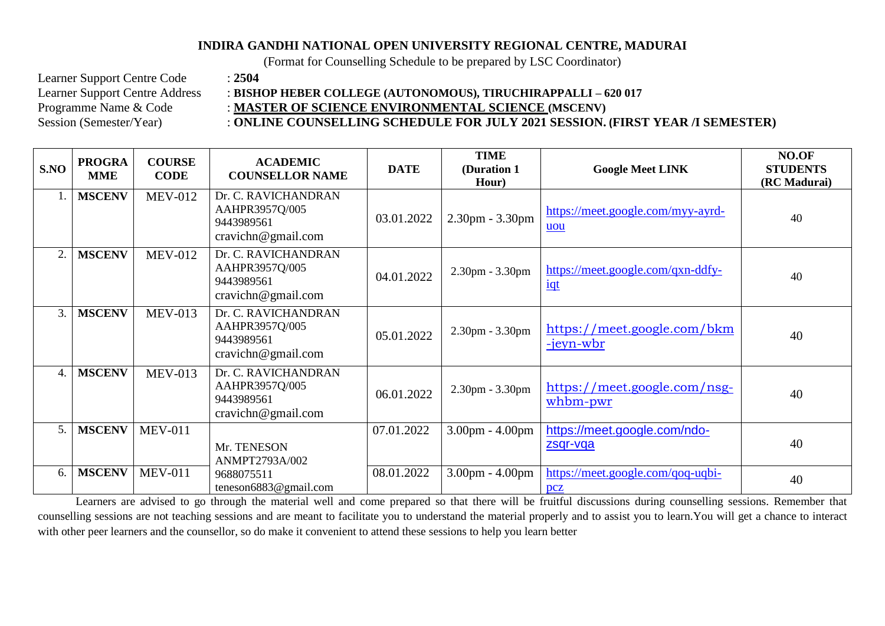## **INDIRA GANDHI NATIONAL OPEN UNIVERSITY REGIONAL CENTRE, MADURAI**

(Format for Counselling Schedule to be prepared by LSC Coordinator)

Learner Support Centre Code : **2504**<br>Learner Support Centre Address : **BISH** 

## : BISHOP HEBER COLLEGE (AUTONOMOUS), TIRUCHIRAPPALLI – 620 017

Programme Name & Code : **MASTER OF SCIENCE ENVIRONMENTAL SCIENCE** (MSCENV)

## Session (Semester/Year) : **ONLINE COUNSELLING SCHEDULE FOR JULY 2021 SESSION. (FIRST YEAR /I SEMESTER)**

| S.NO           | <b>PROGRA</b><br><b>MME</b> | <b>COURSE</b><br><b>CODE</b> | <b>ACADEMIC</b><br><b>COUNSELLOR NAME</b>                                 | <b>DATE</b> | <b>TIME</b><br>(Duration 1<br>Hour) | <b>Google Meet LINK</b>                              | NO.OF<br><b>STUDENTS</b><br>(RC Madurai) |
|----------------|-----------------------------|------------------------------|---------------------------------------------------------------------------|-------------|-------------------------------------|------------------------------------------------------|------------------------------------------|
|                | <b>MSCENV</b>               | <b>MEV-012</b>               | Dr. C. RAVICHANDRAN<br>AAHPR3957Q/005<br>9443989561<br>cravichn@gmail.com | 03.01.2022  | 2.30pm - 3.30pm                     | https://meet.google.com/myy-ayrd-<br>uou             | 40                                       |
| $\overline{2}$ | <b>MSCENV</b>               | <b>MEV-012</b>               | Dr. C. RAVICHANDRAN<br>AAHPR3957Q/005<br>9443989561<br>cravichn@gmail.com | 04.01.2022  | $2.30pm - 3.30pm$                   | https://meet.google.com/qxn-ddfy-<br>$\frac{iqt}{l}$ | 40                                       |
| 3.             | <b>MSCENV</b>               | <b>MEV-013</b>               | Dr. C. RAVICHANDRAN<br>AAHPR3957Q/005<br>9443989561<br>cravichn@gmail.com | 05.01.2022  | 2.30pm - 3.30pm                     | https://meet.google.com/bkm<br><u>-jeyn-wbr</u>      | 40                                       |
| 4.             | <b>MSCENV</b>               | <b>MEV-013</b>               | Dr. C. RAVICHANDRAN<br>AAHPR3957Q/005<br>9443989561<br>cravichn@gmail.com | 06.01.2022  | 2.30pm - 3.30pm                     | https://meet.google.com/nsg-<br>whbm-pwr             | 40                                       |
| 5.             | <b>MSCENV</b>               | <b>MEV-011</b>               | Mr. TENESON<br>ANMPT2793A/002                                             | 07.01.2022  | 3.00pm - 4.00pm                     | https://meet.google.com/ndo-<br>zsqr-vqa             | 40                                       |
| 6.             | <b>MSCENV</b>               | <b>MEV-011</b>               | 9688075511<br>teneson6883@gmail.com                                       | 08.01.2022  | 3.00pm - 4.00pm                     | https://meet.google.com/qoq-uqbi-<br>pcz             | 40                                       |

Learners are advised to go through the material well and come prepared so that there will be fruitful discussions during counselling sessions. Remember that counselling sessions are not teaching sessions and are meant to facilitate you to understand the material properly and to assist you to learn.You will get a chance to interact with other peer learners and the counsellor, so do make it convenient to attend these sessions to help you learn better